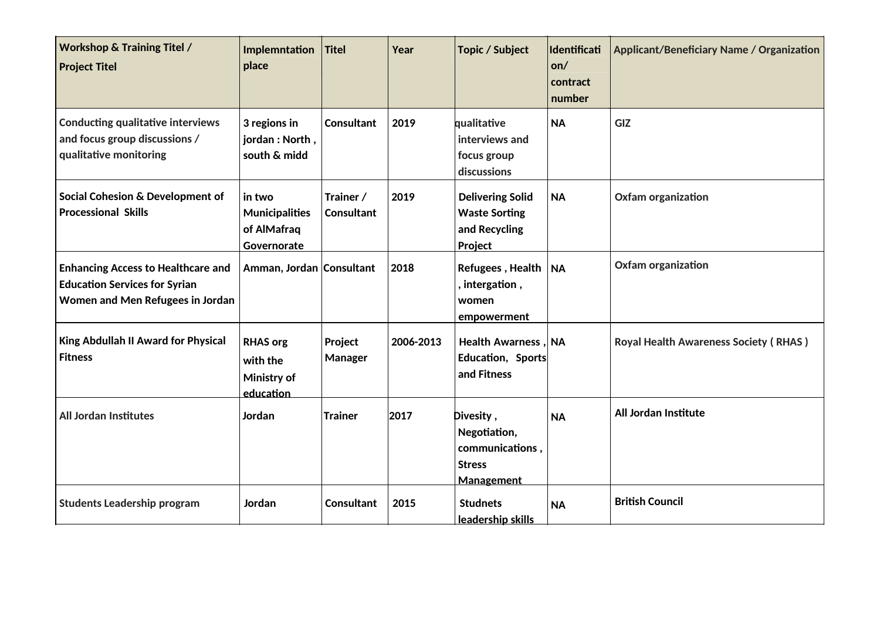| <b>Workshop &amp; Training Titel /</b><br><b>Project Titel</b>                                                        | <b>Implemntation</b><br>place                                 | <b>Titel</b>            | Year      | Topic / Subject                                                                    | ldentificati<br>on/<br>contract<br>number | Applicant/Beneficiary Name / Organization    |
|-----------------------------------------------------------------------------------------------------------------------|---------------------------------------------------------------|-------------------------|-----------|------------------------------------------------------------------------------------|-------------------------------------------|----------------------------------------------|
| <b>Conducting qualitative interviews</b><br>and focus group discussions /<br>qualitative monitoring                   | 3 regions in<br>jordan: North,<br>south & midd                | <b>Consultant</b>       | 2019      | qualitative<br>interviews and<br>focus group<br>discussions                        | <b>NA</b>                                 | GIZ                                          |
| Social Cohesion & Development of<br><b>Processional Skills</b>                                                        | in two<br><b>Municipalities</b><br>of AlMafraq<br>Governorate | Trainer /<br>Consultant | 2019      | <b>Delivering Solid</b><br><b>Waste Sorting</b><br>and Recycling<br>Project        | <b>NA</b>                                 | Oxfam organization                           |
| <b>Enhancing Access to Healthcare and</b><br><b>Education Services for Syrian</b><br>Women and Men Refugees in Jordan | Amman, Jordan Consultant                                      |                         | 2018      | Refugees, Health<br>, intergation,<br>women<br>empowerment                         | NA                                        | <b>Oxfam organization</b>                    |
| King Abdullah II Award for Physical<br><b>Fitness</b>                                                                 | <b>RHAS org</b><br>with the<br>Ministry of<br>education       | Project<br>Manager      | 2006-2013 | Health Awarness, NA<br>Education, Sports<br>and Fitness                            |                                           | <b>Royal Health Awareness Society (RHAS)</b> |
| <b>All Jordan Institutes</b>                                                                                          | Jordan                                                        | <b>Trainer</b>          | 2017      | Divesity,<br>Negotiation,<br>communications,<br><b>Stress</b><br><b>Management</b> | <b>NA</b>                                 | All Jordan Institute                         |
| <b>Students Leadership program</b>                                                                                    | Jordan                                                        | <b>Consultant</b>       | 2015      | <b>Studnets</b><br>leadership skills                                               | <b>NA</b>                                 | <b>British Council</b>                       |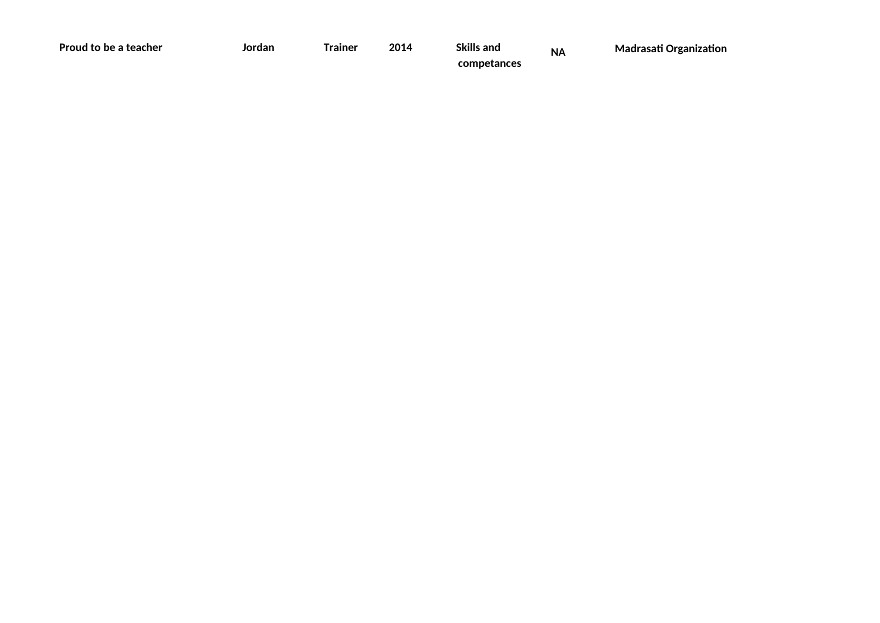| Proud to be a teacher | Jordan | Trainer | 2014 | Skills and |
|-----------------------|--------|---------|------|------------|
|                       |        |         |      |            |

**competances**

**NA Madrasati Organization**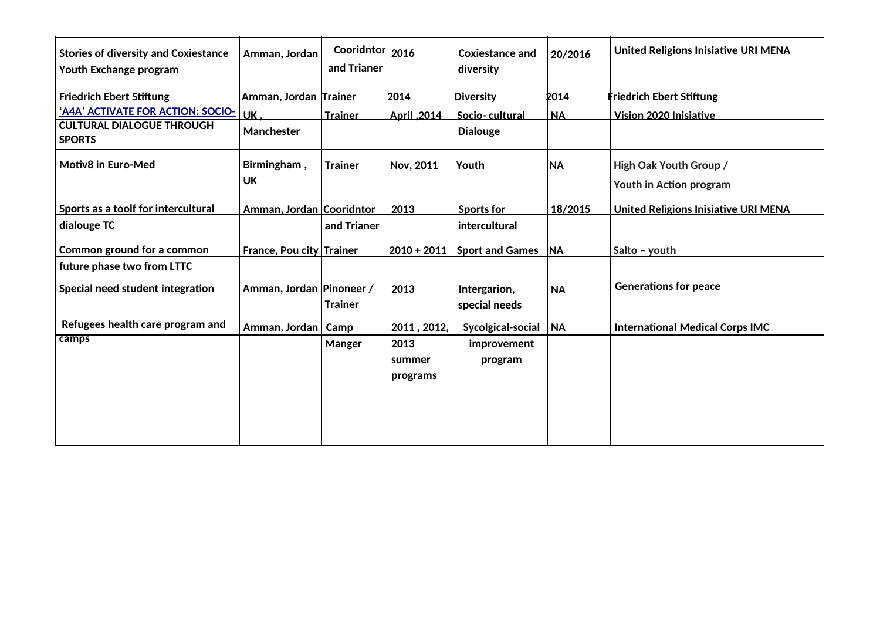| <b>Stories of diversity and Coxiestance</b><br>Youth Exchange program                                                     | Amman, Jordan                              | Cooridntor<br>and Trianer | 2016                | <b>Coxiestance and</b><br>diversity                   | 20/2016           | United Religions Inisiative URI MENA                             |
|---------------------------------------------------------------------------------------------------------------------------|--------------------------------------------|---------------------------|---------------------|-------------------------------------------------------|-------------------|------------------------------------------------------------------|
| <b>Friedrich Ebert Stiftung</b><br>'A4A' ACTIVATE FOR ACTION: SOCIO-<br><b>CULTURAL DIALOGUE THROUGH</b><br><b>SPORTS</b> | Amman, Jordan Trainer<br>UK.<br>Manchester | <b>Trainer</b>            | 2014<br>April, 2014 | <b>Diversity</b><br>Socio-cultural<br><b>Dialouge</b> | 2014<br><b>NA</b> | <b>Friedrich Ebert Stiftung</b><br><b>Vision 2020 Inisiative</b> |
| Motiv8 in Euro-Med                                                                                                        | Birmingham,<br><b>UK</b>                   | <b>Trainer</b>            | Nov, 2011           | Youth                                                 | <b>NA</b>         | High Oak Youth Group /<br><b>Youth in Action program</b>         |
| Sports as a toolf for intercultural                                                                                       | Amman, Jordan Cooridntor                   |                           | 2013                | <b>Sports for</b>                                     | 18/2015           | <b>United Religions Inisiative URI MENA</b>                      |
| dialouge TC                                                                                                               |                                            | and Trianer               |                     | intercultural                                         |                   |                                                                  |
| Common ground for a common                                                                                                | France, Pou city Trainer                   |                           | $ 2010 + 2011$      | <b>Sport and Games</b>                                | <b>NA</b>         | Salto - youth                                                    |
| future phase two from LTTC                                                                                                |                                            |                           |                     |                                                       |                   |                                                                  |
| Special need student integration                                                                                          | Amman, Jordan   Pinoneer /                 |                           | 2013                | Intergarion,                                          | <b>NA</b>         | <b>Generations for peace</b>                                     |
| Refugees health care program and                                                                                          | Amman, Jordan   Camp                       | <b>Trainer</b>            | 2011, 2012,         | special needs<br>Sycolgical-social                    | <b>NA</b>         | <b>International Medical Corps IMC</b>                           |
| camps                                                                                                                     |                                            | <b>Manger</b>             | 2013<br>summer      | improvement<br>program                                |                   |                                                                  |
|                                                                                                                           |                                            |                           | programs            |                                                       |                   |                                                                  |